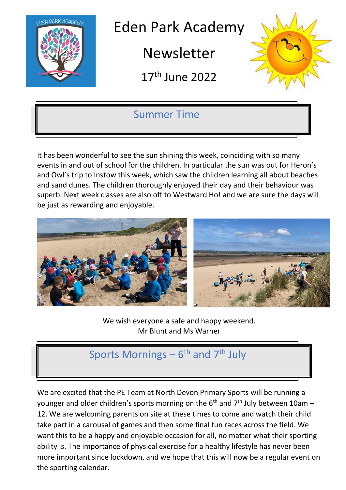

Eden Park Academy

Newsletter

17 th June 2022



## Summer Time

It has been wonderful to see the sun shining this week, coinciding with so many events in and out of school for the children. In particular the sun was out for Heron's and Owl's trip to Instow this week, which saw the children learning all about beaches and sand dunes. The children thoroughly enjoyed their day and their behaviour was superb. Next week classes are also off to Westward Ho! and we are sure the days will be just as rewarding and enjoyable.



We wish everyone a safe and happy weekend. Mr Blunt and Ms Warner

# Sports Mornings – 6<sup>th</sup> and 7<sup>th</sup> July

We are excited that the PE Team at North Devon Primary Sports will be running a younger and older children's sports morning on the  $6<sup>th</sup>$  and  $7<sup>th</sup>$  July between 10am – 12. We are welcoming parents on site at these times to come and watch their child take part in a carousal of games and then some final fun races across the field. We want this to be a happy and enjoyable occasion for all, no matter what their sporting ability is. The importance of physical exercise for a healthy lifestyle has never been more important since lockdown, and we hope that this will now be a regular event on the sporting calendar.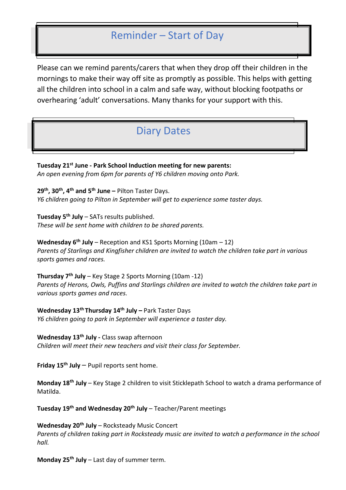### Reminder – Start of Day

Please can we remind parents/carers that when they drop off their children in the mornings to make their way off site as promptly as possible. This helps with getting all the children into school in a calm and safe way, without blocking footpaths or overhearing 'adult' conversations. Many thanks for your support with this.

### Diary Dates

**Tuesday 21st June - Park School Induction meeting for new parents:** *An open evening from 6pm for parents of Y6 children moving onto Park.* 

**29th, 30th, 4th and 5th June –** Pilton Taster Days. *Y6 children going to Pilton in September will get to experience some taster days.* 

**Tuesday 5th July** – SATs results published. *These will be sent home with children to be shared parents.* 

**Wednesday 6th July** – Reception and KS1 Sports Morning (10am – 12) *Parents of Starlings and Kingfisher children are invited to watch the children take part in various sports games and races.* 

**Thursday 7th July** – Key Stage 2 Sports Morning (10am -12) Parents of Herons, Owls, Puffins and Starlings children are invited to watch the children take part in *various sports games and races.* 

**Wednesday 13th Thursday 14th July –** Park Taster Days *Y6 children going to park in September will experience a taster day.* 

**Wednesday 13th July -** Class swap afternoon *Children will meet their new teachers and visit their class for September.* 

**Friday 15th July** – Pupil reports sent home.

**Monday 18th July** – Key Stage 2 children to visit Sticklepath School to watch a drama performance of Matilda.

**Tuesday 19th and Wednesday 20th July** – Teacher/Parent meetings

**Wednesday 20th July** – Rocksteady Music Concert *Parents of children taking part in Rocksteady music are invited to watch a performance in the school hall.* 

**Monday 25th July** – Last day of summer term.